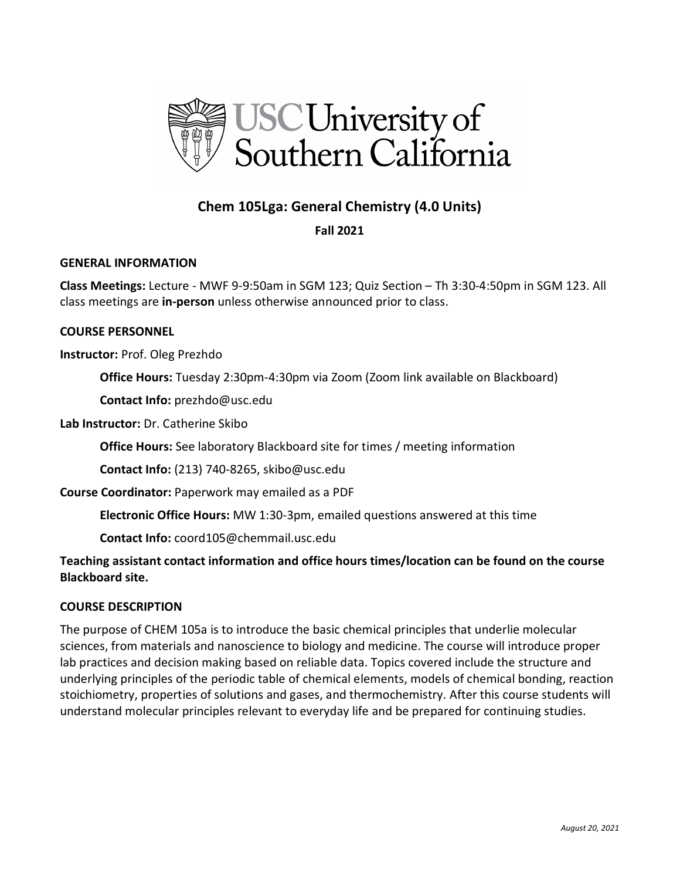

# **Chem 105Lgа: General Chemistry (4.0 Units)**

# **Fall 2021**

### **GENERAL INFORMATION**

**Class Meetings:** Lecture - MWF 9-9:50am in SGM 123; Quiz Section – Th 3:30-4:50pm in SGM 123. All class meetings are **in-person** unless otherwise announced prior to class.

### **COURSE PERSONNEL**

**Instructor:** Prof. Oleg Prezhdo

**Office Hours:** Tuesday 2:30pm-4:30pm via Zoom (Zoom link available on Blackboard)

**Contact Info:** prezhdo@usc.edu

**Lab Instructor:** Dr. Catherine Skibo

**Office Hours:** See laboratory Blackboard site for times / meeting information

**Contact Info:** (213) 740-8265, skibo@usc.edu

**Course Coordinator:** Paperwork may emailed as a PDF

**Electronic Office Hours:** MW 1:30-3pm, emailed questions answered at this time

**Contact Info:** coord105@chemmail.usc.edu

**Teaching assistant contact information and office hours times/location can be found on the course Blackboard site.**

### **COURSE DESCRIPTION**

The purpose of CHEM 105a is to introduce the basic chemical principles that underlie molecular sciences, from materials and nanoscience to biology and medicine. The course will introduce proper lab practices and decision making based on reliable data. Topics covered include the structure and underlying principles of the periodic table of chemical elements, models of chemical bonding, reaction stoichiometry, properties of solutions and gases, and thermochemistry. After this course students will understand molecular principles relevant to everyday life and be prepared for continuing studies.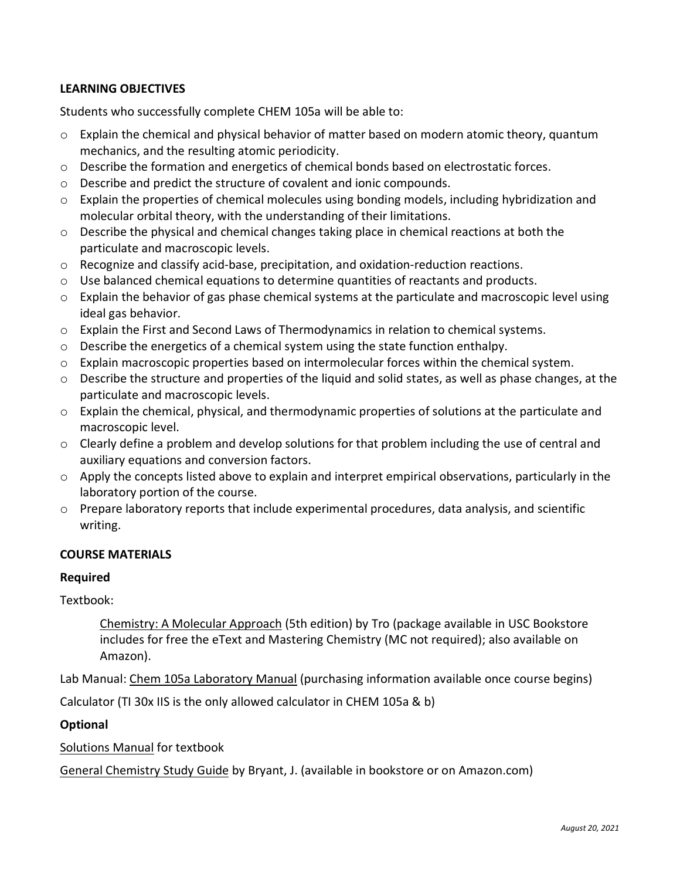# **LEARNING OBJECTIVES**

Students who successfully complete CHEM 105a will be able to:

- o Explain the chemical and physical behavior of matter based on modern atomic theory, quantum mechanics, and the resulting atomic periodicity.
- $\circ$  Describe the formation and energetics of chemical bonds based on electrostatic forces.
- o Describe and predict the structure of covalent and ionic compounds.
- $\circ$  Explain the properties of chemical molecules using bonding models, including hybridization and molecular orbital theory, with the understanding of their limitations.
- o Describe the physical and chemical changes taking place in chemical reactions at both the particulate and macroscopic levels.
- o Recognize and classify acid-base, precipitation, and oxidation-reduction reactions.
- o Use balanced chemical equations to determine quantities of reactants and products.
- $\circ$  Explain the behavior of gas phase chemical systems at the particulate and macroscopic level using ideal gas behavior.
- o Explain the First and Second Laws of Thermodynamics in relation to chemical systems.
- $\circ$  Describe the energetics of a chemical system using the state function enthalpy.
- $\circ$  Explain macroscopic properties based on intermolecular forces within the chemical system.
- o Describe the structure and properties of the liquid and solid states, as well as phase changes, at the particulate and macroscopic levels.
- o Explain the chemical, physical, and thermodynamic properties of solutions at the particulate and macroscopic level.
- $\circ$  Clearly define a problem and develop solutions for that problem including the use of central and auxiliary equations and conversion factors.
- o Apply the concepts listed above to explain and interpret empirical observations, particularly in the laboratory portion of the course.
- o Prepare laboratory reports that include experimental procedures, data analysis, and scientific writing.

### **COURSE MATERIALS**

### **Required**

Textbook:

Chemistry: A Molecular Approach (5th edition) by Tro (package available in USC Bookstore includes for free the eText and Mastering Chemistry (MC not required); also available on Amazon).

Lab Manual: Chem 105a Laboratory Manual (purchasing information available once course begins)

Calculator (TI 30x IIS is the only allowed calculator in CHEM 105a & b)

# **Optional**

Solutions Manual for textbook

General Chemistry Study Guide by Bryant, J. (available in bookstore or on Amazon.com)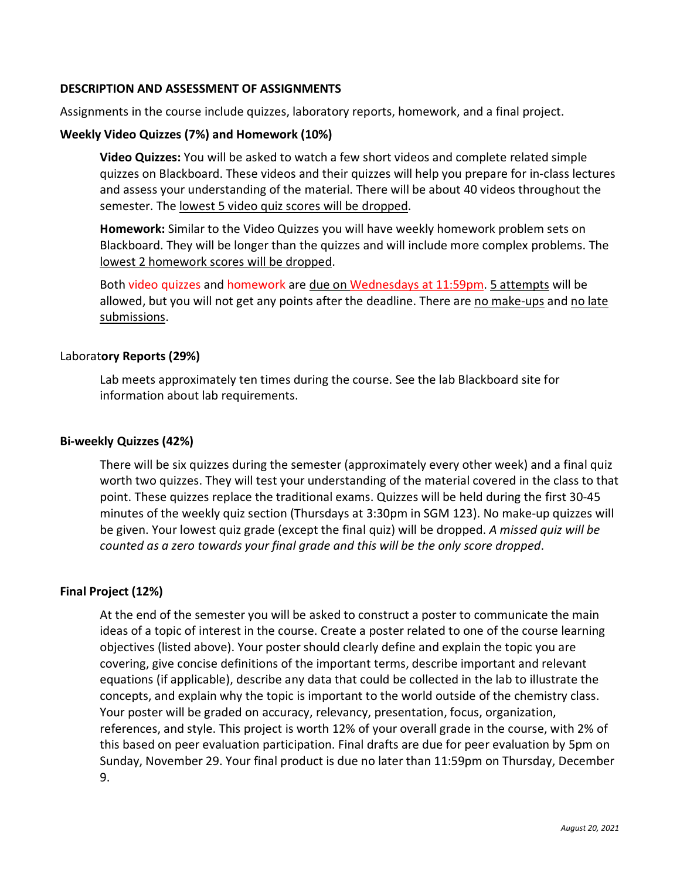### **DESCRIPTION AND ASSESSMENT OF ASSIGNMENTS**

Assignments in the course include quizzes, laboratory reports, homework, and a final project.

### **Weekly Video Quizzes (7%) and Homework (10%)**

**Video Quizzes:** You will be asked to watch a few short videos and complete related simple quizzes on Blackboard. These videos and their quizzes will help you prepare for in-class lectures and assess your understanding of the material. There will be about 40 videos throughout the semester. The lowest 5 video quiz scores will be dropped.

**Homework:** Similar to the Video Quizzes you will have weekly homework problem sets on Blackboard. They will be longer than the quizzes and will include more complex problems. The lowest 2 homework scores will be dropped.

Both video quizzes and homework are due on Wednesdays at 11:59pm. 5 attempts will be allowed, but you will not get any points after the deadline. There are no make-ups and no late submissions.

### Laborat**ory Reports (29%)**

Lab meets approximately ten times during the course. See the lab Blackboard site for information about lab requirements.

### **Bi-weekly Quizzes (42%)**

There will be six quizzes during the semester (approximately every other week) and a final quiz worth two quizzes. They will test your understanding of the material covered in the class to that point. These quizzes replace the traditional exams. Quizzes will be held during the first 30-45 minutes of the weekly quiz section (Thursdays at 3:30pm in SGM 123). No make-up quizzes will be given. Your lowest quiz grade (except the final quiz) will be dropped. *A missed quiz will be counted as a zero towards your final grade and this will be the only score dropped*.

### **Final Project (12%)**

At the end of the semester you will be asked to construct a poster to communicate the main ideas of a topic of interest in the course. Create a poster related to one of the course learning objectives (listed above). Your poster should clearly define and explain the topic you are covering, give concise definitions of the important terms, describe important and relevant equations (if applicable), describe any data that could be collected in the lab to illustrate the concepts, and explain why the topic is important to the world outside of the chemistry class. Your poster will be graded on accuracy, relevancy, presentation, focus, organization, references, and style. This project is worth 12% of your overall grade in the course, with 2% of this based on peer evaluation participation. Final drafts are due for peer evaluation by 5pm on Sunday, November 29. Your final product is due no later than 11:59pm on Thursday, December 9.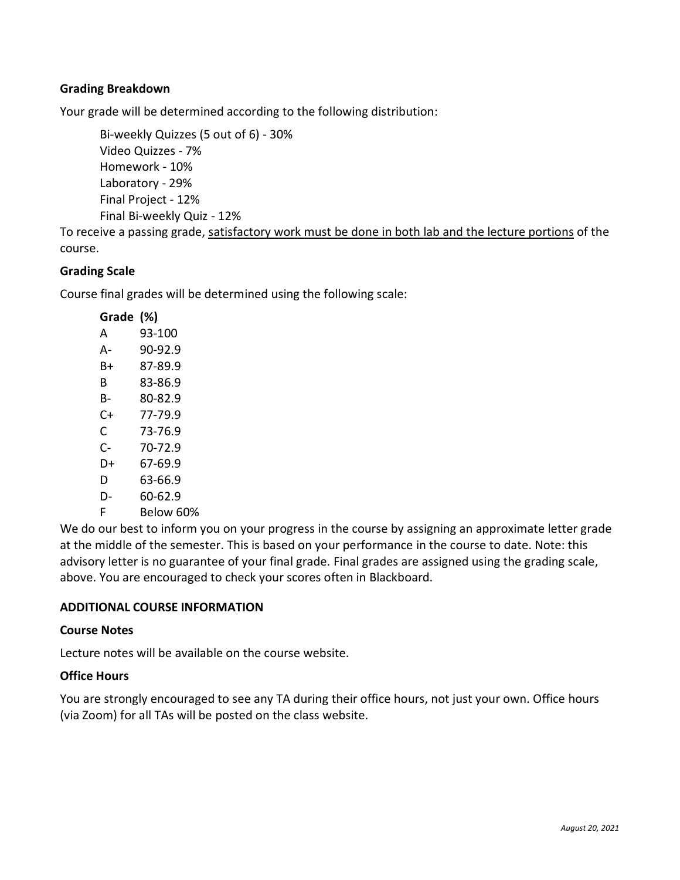# **Grading Breakdown**

Your grade will be determined according to the following distribution:

Bi-weekly Quizzes (5 out of 6) - 30% Video Quizzes - 7% Homework - 10% Laboratory - 29% Final Project - 12% Final Bi-weekly Quiz - 12%

To receive a passing grade, satisfactory work must be done in both lab and the lecture portions of the course.

# **Grading Scale**

Course final grades will be determined using the following scale:

| Grade (%) |           |
|-----------|-----------|
| А         | 93-100    |
| А-        | 90-92.9   |
| B+        | 87-89.9   |
| R         | 83-86.9   |
| В-        | 80-82.9   |
| C+        | 77-79.9   |
| C         | 73-76.9   |
| C-        | 70-72.9   |
| D+        | 67-69.9   |
| D         | 63-66.9   |
| D-        | 60-62.9   |
| F         | Below 60% |

We do our best to inform you on your progress in the course by assigning an approximate letter grade at the middle of the semester. This is based on your performance in the course to date. Note: this advisory letter is no guarantee of your final grade. Final grades are assigned using the grading scale, above. You are encouraged to check your scores often in Blackboard.

# **ADDITIONAL COURSE INFORMATION**

### **Course Notes**

Lecture notes will be available on the course website.

### **Office Hours**

You are strongly encouraged to see any TA during their office hours, not just your own. Office hours (via Zoom) for all TAs will be posted on the class website.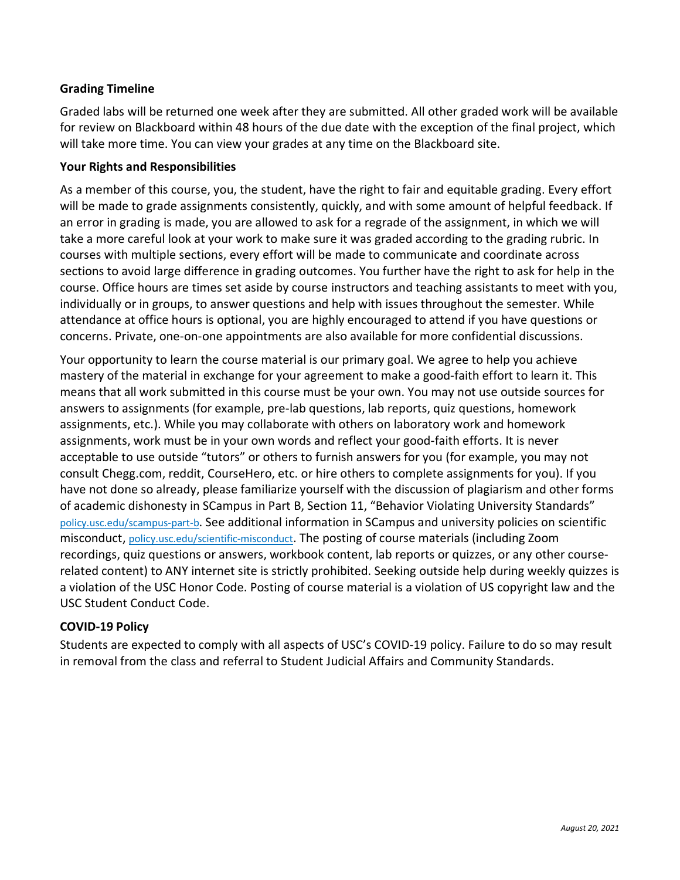# **Grading Timeline**

Graded labs will be returned one week after they are submitted. All other graded work will be available for review on Blackboard within 48 hours of the due date with the exception of the final project, which will take more time. You can view your grades at any time on the Blackboard site.

### **Your Rights and Responsibilities**

As a member of this course, you, the student, have the right to fair and equitable grading. Every effort will be made to grade assignments consistently, quickly, and with some amount of helpful feedback. If an error in grading is made, you are allowed to ask for a regrade of the assignment, in which we will take a more careful look at your work to make sure it was graded according to the grading rubric. In courses with multiple sections, every effort will be made to communicate and coordinate across sections to avoid large difference in grading outcomes. You further have the right to ask for help in the course. Office hours are times set aside by course instructors and teaching assistants to meet with you, individually or in groups, to answer questions and help with issues throughout the semester. While attendance at office hours is optional, you are highly encouraged to attend if you have questions or concerns. Private, one-on-one appointments are also available for more confidential discussions.

Your opportunity to learn the course material is our primary goal. We agree to help you achieve mastery of the material in exchange for your agreement to make a good-faith effort to learn it. This means that all work submitted in this course must be your own. You may not use outside sources for answers to assignments (for example, pre-lab questions, lab reports, quiz questions, homework assignments, etc.). While you may collaborate with others on laboratory work and homework assignments, work must be in your own words and reflect your good-faith efforts. It is never acceptable to use outside "tutors" or others to furnish answers for you (for example, you may not consult Chegg.com, reddit, CourseHero, etc. or hire others to complete assignments for you). If you have not done so already, please familiarize yourself with the discussion of plagiarism and other forms of academic dishonesty in SCampus in Part B, Section 11, "Behavior Violating University Standards" [policy.usc.edu/scampus-part-b.](https://policy.usc.edu/scampus-part-b/) See additional information in SCampus and university policies on scientific misconduct, [policy.usc.edu/scientific-misconduct.](http://policy.usc.edu/scientific-misconduct) The posting of course materials (including Zoom recordings, quiz questions or answers, workbook content, lab reports or quizzes, or any other courserelated content) to ANY internet site is strictly prohibited. Seeking outside help during weekly quizzes is a violation of the USC Honor Code. Posting of course material is a violation of US copyright law and the USC Student Conduct Code.

# **COVID-19 Policy**

Students are expected to comply with all aspects of USC's COVID-19 policy. Failure to do so may result in removal from the class and referral to Student Judicial Affairs and Community Standards.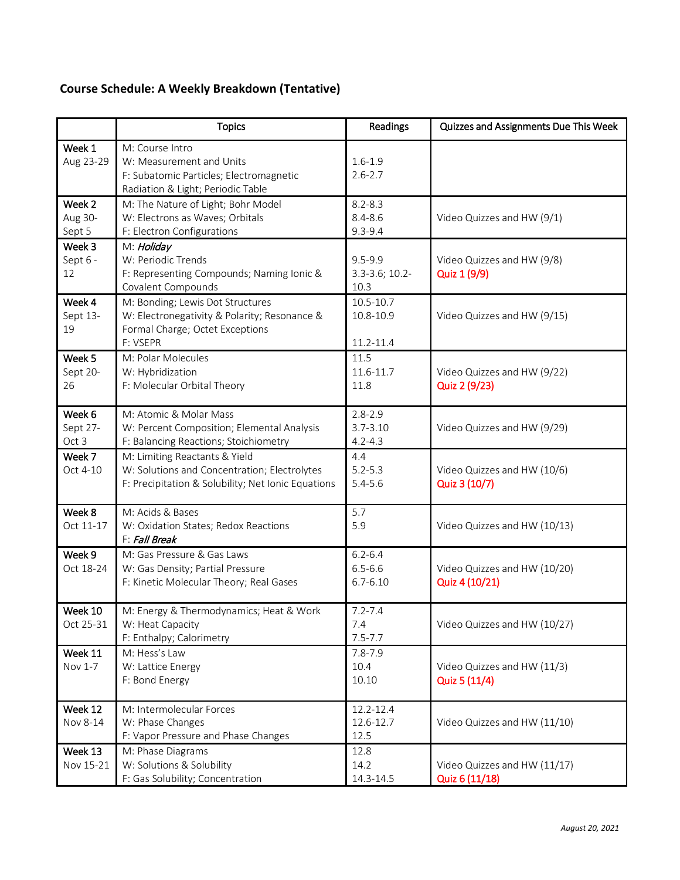# **Course Schedule: A Weekly Breakdown (Tentative)**

|                                        | <b>Topics</b>                                                                                                                       | Readings                                   | Quizzes and Assignments Due This Week          |
|----------------------------------------|-------------------------------------------------------------------------------------------------------------------------------------|--------------------------------------------|------------------------------------------------|
| Week 1<br>Aug 23-29                    | M: Course Intro<br>W: Measurement and Units<br>F: Subatomic Particles; Electromagnetic<br>Radiation & Light; Periodic Table         | $1.6 - 1.9$<br>$2.6 - 2.7$                 |                                                |
| Week <sub>2</sub><br>Aug 30-<br>Sept 5 | M: The Nature of Light; Bohr Model<br>W: Electrons as Waves; Orbitals<br>F: Electron Configurations                                 | $8.2 - 8.3$<br>$8.4 - 8.6$<br>$9.3 - 9.4$  | Video Quizzes and HW (9/1)                     |
| Week 3<br>Sept 6 -<br>12               | M: Holiday<br>W: Periodic Trends<br>F: Representing Compounds; Naming Ionic &<br>Covalent Compounds                                 | $9.5 - 9.9$<br>$3.3 - 3.6; 10.2 -$<br>10.3 | Video Quizzes and HW (9/8)<br>Quiz 1 (9/9)     |
| Week 4<br>Sept 13-<br>19               | M: Bonding; Lewis Dot Structures<br>W: Electronegativity & Polarity; Resonance &<br>Formal Charge; Octet Exceptions<br>F: VSEPR     | 10.5-10.7<br>10.8-10.9<br>11.2-11.4        | Video Quizzes and HW (9/15)                    |
| Week 5<br>Sept 20-<br>26               | M: Polar Molecules<br>W: Hybridization<br>F: Molecular Orbital Theory                                                               | 11.5<br>11.6-11.7<br>11.8                  | Video Quizzes and HW (9/22)<br>Quiz 2 (9/23)   |
| Week 6<br>Sept 27-<br>Oct 3            | M: Atomic & Molar Mass<br>W: Percent Composition; Elemental Analysis<br>F: Balancing Reactions; Stoichiometry                       | $2.8 - 2.9$<br>$3.7 - 3.10$<br>$4.2 - 4.3$ | Video Quizzes and HW (9/29)                    |
| Week 7<br>Oct 4-10                     | M: Limiting Reactants & Yield<br>W: Solutions and Concentration; Electrolytes<br>F: Precipitation & Solubility; Net Ionic Equations | 4.4<br>$5.2 - 5.3$<br>$5.4 - 5.6$          | Video Quizzes and HW (10/6)<br>Quiz 3 (10/7)   |
| Week 8<br>Oct 11-17                    | M: Acids & Bases<br>W: Oxidation States; Redox Reactions<br>F: Fall Break                                                           | 5.7<br>5.9                                 | Video Quizzes and HW (10/13)                   |
| Week 9<br>Oct 18-24                    | M: Gas Pressure & Gas Laws<br>W: Gas Density; Partial Pressure<br>F: Kinetic Molecular Theory; Real Gases                           | $6.2 - 6.4$<br>$6.5 - 6.6$<br>$6.7 - 6.10$ | Video Quizzes and HW (10/20)<br>Quiz 4 (10/21) |
| Week 10<br>Oct 25-31                   | M: Energy & Thermodynamics; Heat & Work<br>W: Heat Capacity<br>F: Enthalpy; Calorimetry                                             | $7.2 - 7.4$<br>7.4<br>$7.5 - 7.7$          | Video Quizzes and HW (10/27)                   |
| Week 11<br>Nov 1-7                     | M: Hess's Law<br>W: Lattice Energy<br>F: Bond Energy                                                                                | $7.8 - 7.9$<br>10.4<br>10.10               | Video Quizzes and HW (11/3)<br>Quiz 5 (11/4)   |
| Week 12<br>Nov 8-14                    | M: Intermolecular Forces<br>W: Phase Changes<br>F: Vapor Pressure and Phase Changes                                                 | 12.2-12.4<br>12.6-12.7<br>12.5             | Video Quizzes and HW (11/10)                   |
| Week 13<br>Nov 15-21                   | M: Phase Diagrams<br>W: Solutions & Solubility<br>F: Gas Solubility; Concentration                                                  | 12.8<br>14.2<br>14.3-14.5                  | Video Quizzes and HW (11/17)<br>Quiz 6 (11/18) |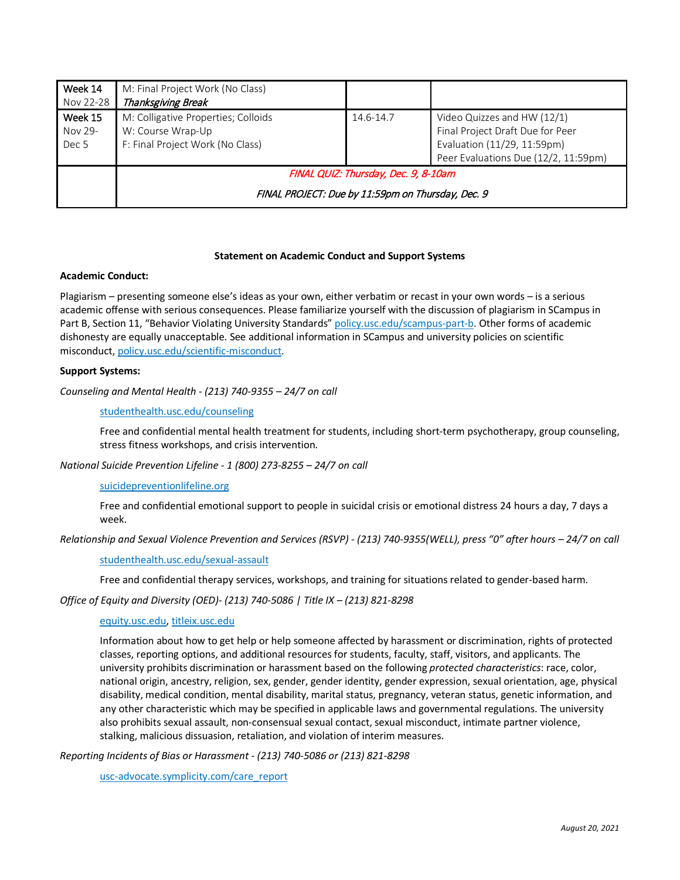| Week 14<br>Nov 22-28                   | M: Final Project Work (No Class)<br>Thanksgiving Break                                       |           |                                                                                                                                        |  |  |
|----------------------------------------|----------------------------------------------------------------------------------------------|-----------|----------------------------------------------------------------------------------------------------------------------------------------|--|--|
| Week 15<br>Nov 29-<br>Dec <sub>5</sub> | M: Colligative Properties; Colloids<br>W: Course Wrap-Up<br>F: Final Project Work (No Class) | 14.6-14.7 | Video Quizzes and HW (12/1)<br>Final Project Draft Due for Peer<br>Evaluation (11/29, 11:59pm)<br>Peer Evaluations Due (12/2, 11:59pm) |  |  |
|                                        | FINAL QUIZ: Thursday, Dec. 9, 8-10am                                                         |           |                                                                                                                                        |  |  |
|                                        | FINAL PROJECT: Due by 11:59pm on Thursday, Dec. 9                                            |           |                                                                                                                                        |  |  |

### **Statement on Academic Conduct and Support Systems**

#### **Academic Conduct:**

Plagiarism – presenting someone else's ideas as your own, either verbatim or recast in your own words – is a serious academic offense with serious consequences. Please familiarize yourself with the discussion of plagiarism in SCampus in Part B, Section 11, "Behavior Violating University Standards[" policy.usc.edu/scampus-part-b.](https://policy.usc.edu/scampus-part-b/) Other forms of academic dishonesty are equally unacceptable. See additional information in SCampus and university policies on scientific misconduct, [policy.usc.edu/scientific-misconduct.](http://policy.usc.edu/scientific-misconduct)

#### **Support Systems:**

*Counseling and Mental Health - (213) 740-9355 – 24/7 on call*

#### [studenthealth.usc.edu/counseling](https://studenthealth.usc.edu/counseling/)

Free and confidential mental health treatment for students, including short-term psychotherapy, group counseling, stress fitness workshops, and crisis intervention.

*National Suicide Prevention Lifeline - 1 (800) 273-8255 – 24/7 on call*

#### [suicidepreventionlifeline.org](http://www.suicidepreventionlifeline.org/)

Free and confidential emotional support to people in suicidal crisis or emotional distress 24 hours a day, 7 days a week.

*Relationship and Sexual Violence Prevention and Services (RSVP) - (213) 740-9355(WELL), press "0" after hours – 24/7 on call*

#### [studenthealth.usc.edu/sexual-assault](https://studenthealth.usc.edu/sexual-assault/)

Free and confidential therapy services, workshops, and training for situations related to gender-based harm.

*Office of Equity and Diversity (OED)- (213) 740-5086 | Title IX – (213) 821-8298*

#### [equity.usc.edu,](https://equity.usc.edu/) [titleix.usc.edu](http://titleix.usc.edu/)

Information about how to get help or help someone affected by harassment or discrimination, rights of protected classes, reporting options, and additional resources for students, faculty, staff, visitors, and applicants. The university prohibits discrimination or harassment based on the following *protected characteristics*: race, color, national origin, ancestry, religion, sex, gender, gender identity, gender expression, sexual orientation, age, physical disability, medical condition, mental disability, marital status, pregnancy, veteran status, genetic information, and any other characteristic which may be specified in applicable laws and governmental regulations. The university also prohibits sexual assault, non-consensual sexual contact, sexual misconduct, intimate partner violence, stalking, malicious dissuasion, retaliation, and violation of interim measures.

*Reporting Incidents of Bias or Harassment - (213) 740-5086 or (213) 821-8298*

[usc-advocate.symplicity.com/care\\_report](https://usc-advocate.symplicity.com/care_report/)